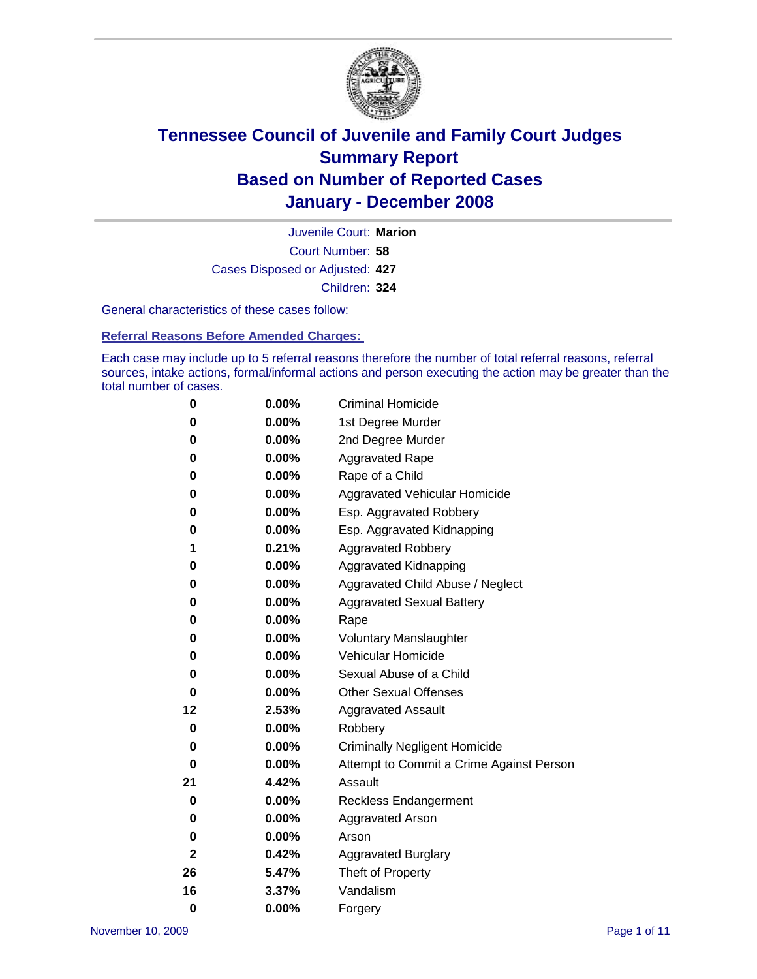

Court Number: **58** Juvenile Court: **Marion** Cases Disposed or Adjusted: **427** Children: **324**

General characteristics of these cases follow:

**Referral Reasons Before Amended Charges:** 

Each case may include up to 5 referral reasons therefore the number of total referral reasons, referral sources, intake actions, formal/informal actions and person executing the action may be greater than the total number of cases.

| 0  | 0.00%    | <b>Criminal Homicide</b>                 |
|----|----------|------------------------------------------|
| 0  | 0.00%    | 1st Degree Murder                        |
| 0  | 0.00%    | 2nd Degree Murder                        |
| 0  | 0.00%    | <b>Aggravated Rape</b>                   |
| 0  | 0.00%    | Rape of a Child                          |
| 0  | 0.00%    | Aggravated Vehicular Homicide            |
| 0  | 0.00%    | Esp. Aggravated Robbery                  |
| 0  | 0.00%    | Esp. Aggravated Kidnapping               |
| 1  | 0.21%    | <b>Aggravated Robbery</b>                |
| 0  | 0.00%    | Aggravated Kidnapping                    |
| 0  | 0.00%    | Aggravated Child Abuse / Neglect         |
| 0  | 0.00%    | <b>Aggravated Sexual Battery</b>         |
| 0  | 0.00%    | Rape                                     |
| 0  | 0.00%    | <b>Voluntary Manslaughter</b>            |
| 0  | 0.00%    | Vehicular Homicide                       |
| 0  | $0.00\%$ | Sexual Abuse of a Child                  |
| 0  | 0.00%    | <b>Other Sexual Offenses</b>             |
| 12 | 2.53%    | <b>Aggravated Assault</b>                |
| 0  | 0.00%    | Robbery                                  |
| 0  | $0.00\%$ | <b>Criminally Negligent Homicide</b>     |
| 0  | 0.00%    | Attempt to Commit a Crime Against Person |
| 21 | 4.42%    | Assault                                  |
| 0  | 0.00%    | <b>Reckless Endangerment</b>             |
| 0  | $0.00\%$ | <b>Aggravated Arson</b>                  |
| 0  | 0.00%    | Arson                                    |
| 2  | 0.42%    | <b>Aggravated Burglary</b>               |
| 26 | 5.47%    | Theft of Property                        |
| 16 | 3.37%    | Vandalism                                |
| 0  | 0.00%    | Forgery                                  |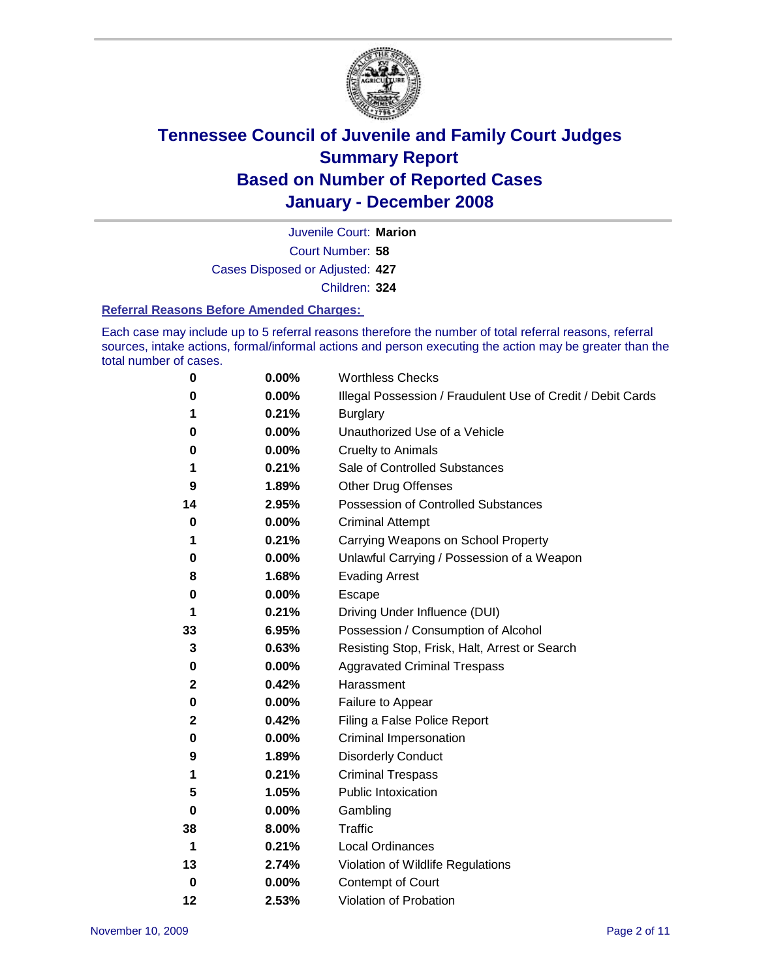

Court Number: **58** Juvenile Court: **Marion** Cases Disposed or Adjusted: **427** Children: **324**

#### **Referral Reasons Before Amended Charges:**

Each case may include up to 5 referral reasons therefore the number of total referral reasons, referral sources, intake actions, formal/informal actions and person executing the action may be greater than the total number of cases.

| 0  | 0.00% | <b>Worthless Checks</b>                                     |
|----|-------|-------------------------------------------------------------|
| 0  | 0.00% | Illegal Possession / Fraudulent Use of Credit / Debit Cards |
| 1  | 0.21% | <b>Burglary</b>                                             |
| 0  | 0.00% | Unauthorized Use of a Vehicle                               |
| 0  | 0.00% | <b>Cruelty to Animals</b>                                   |
| 1  | 0.21% | Sale of Controlled Substances                               |
| 9  | 1.89% | <b>Other Drug Offenses</b>                                  |
| 14 | 2.95% | <b>Possession of Controlled Substances</b>                  |
| 0  | 0.00% | <b>Criminal Attempt</b>                                     |
| 1  | 0.21% | Carrying Weapons on School Property                         |
| 0  | 0.00% | Unlawful Carrying / Possession of a Weapon                  |
| 8  | 1.68% | <b>Evading Arrest</b>                                       |
| 0  | 0.00% | Escape                                                      |
| 1  | 0.21% | Driving Under Influence (DUI)                               |
| 33 | 6.95% | Possession / Consumption of Alcohol                         |
| 3  | 0.63% | Resisting Stop, Frisk, Halt, Arrest or Search               |
| 0  | 0.00% | <b>Aggravated Criminal Trespass</b>                         |
| 2  | 0.42% | Harassment                                                  |
| 0  | 0.00% | Failure to Appear                                           |
| 2  | 0.42% | Filing a False Police Report                                |
| 0  | 0.00% | Criminal Impersonation                                      |
| 9  | 1.89% | <b>Disorderly Conduct</b>                                   |
| 1  | 0.21% | <b>Criminal Trespass</b>                                    |
| 5  | 1.05% | <b>Public Intoxication</b>                                  |
| 0  | 0.00% | Gambling                                                    |
| 38 | 8.00% | <b>Traffic</b>                                              |
| 1  | 0.21% | Local Ordinances                                            |
| 13 | 2.74% | Violation of Wildlife Regulations                           |
| 0  | 0.00% | <b>Contempt of Court</b>                                    |
| 12 | 2.53% | Violation of Probation                                      |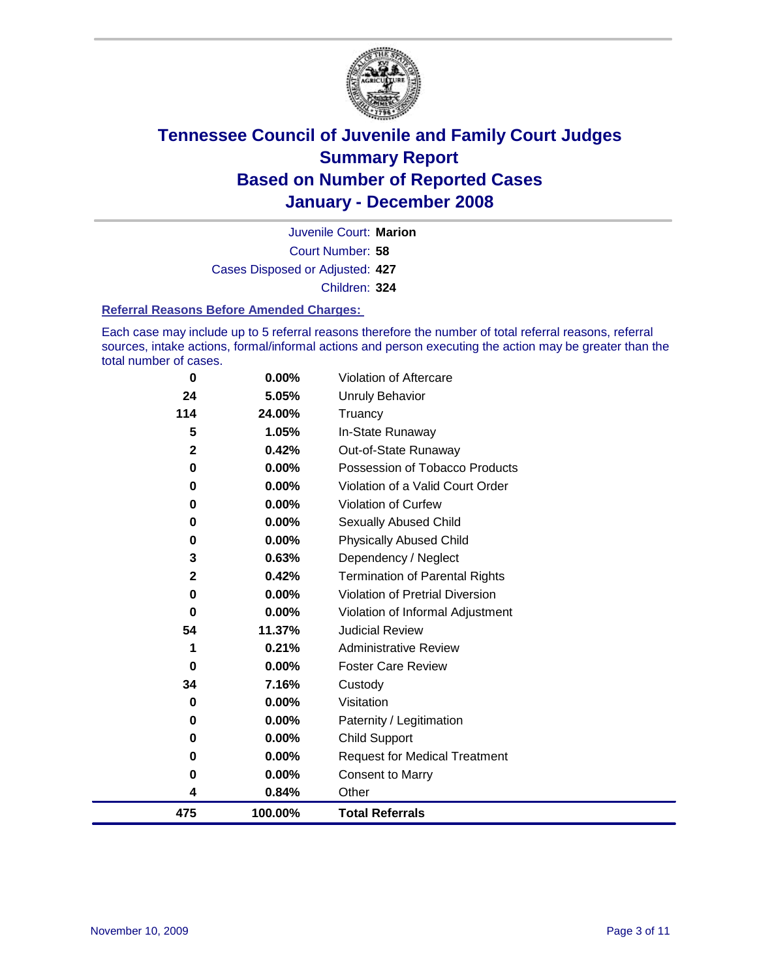

Court Number: **58** Juvenile Court: **Marion** Cases Disposed or Adjusted: **427** Children: **324**

#### **Referral Reasons Before Amended Charges:**

Each case may include up to 5 referral reasons therefore the number of total referral reasons, referral sources, intake actions, formal/informal actions and person executing the action may be greater than the total number of cases.

| 0            | 0.00%   | Violation of Aftercare                 |
|--------------|---------|----------------------------------------|
| 24           | 5.05%   | Unruly Behavior                        |
| 114          | 24.00%  | Truancy                                |
| 5            | 1.05%   | In-State Runaway                       |
| $\mathbf{2}$ | 0.42%   | Out-of-State Runaway                   |
| 0            | 0.00%   | Possession of Tobacco Products         |
| 0            | 0.00%   | Violation of a Valid Court Order       |
| $\bf{0}$     | 0.00%   | Violation of Curfew                    |
| 0            | 0.00%   | Sexually Abused Child                  |
| 0            | 0.00%   | <b>Physically Abused Child</b>         |
| 3            | 0.63%   | Dependency / Neglect                   |
| $\mathbf{2}$ | 0.42%   | <b>Termination of Parental Rights</b>  |
| 0            | 0.00%   | <b>Violation of Pretrial Diversion</b> |
| 0            | 0.00%   | Violation of Informal Adjustment       |
| 54           | 11.37%  | <b>Judicial Review</b>                 |
| 1            | 0.21%   | <b>Administrative Review</b>           |
| $\bf{0}$     | 0.00%   | <b>Foster Care Review</b>              |
| 34           | 7.16%   | Custody                                |
| 0            | 0.00%   | Visitation                             |
| 0            | 0.00%   | Paternity / Legitimation               |
| 0            | 0.00%   | <b>Child Support</b>                   |
| 0            | 0.00%   | <b>Request for Medical Treatment</b>   |
| 0            | 0.00%   | <b>Consent to Marry</b>                |
| 4            | 0.84%   | Other                                  |
| 475          | 100.00% | <b>Total Referrals</b>                 |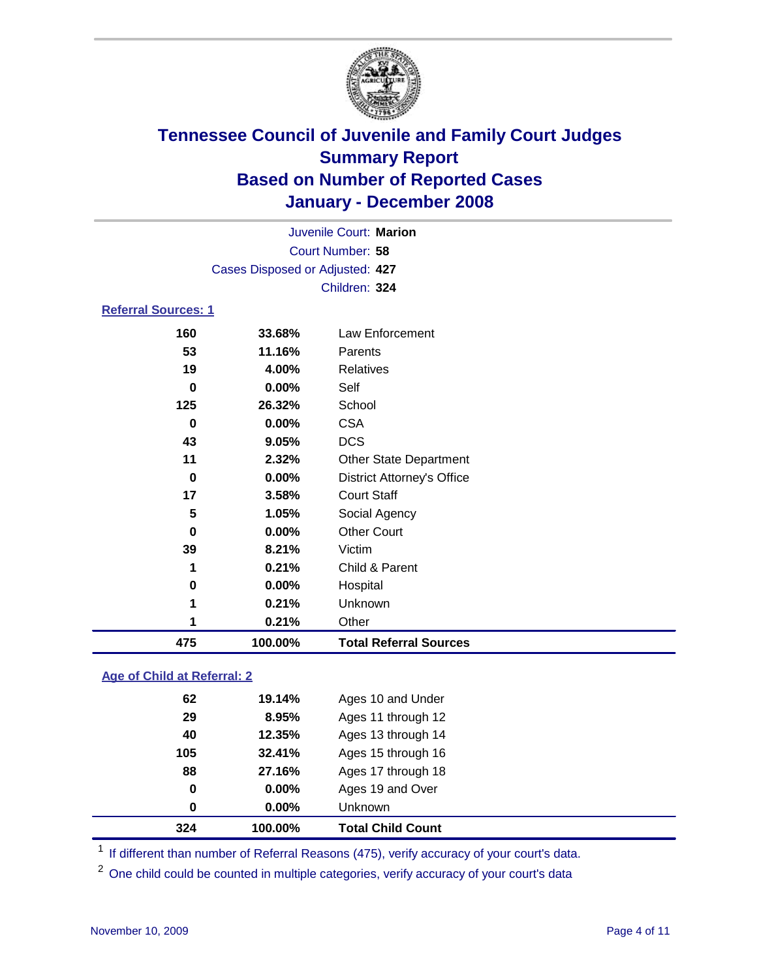

|                            | Juvenile Court: Marion          |                 |  |  |  |
|----------------------------|---------------------------------|-----------------|--|--|--|
|                            | Court Number: 58                |                 |  |  |  |
|                            | Cases Disposed or Adjusted: 427 |                 |  |  |  |
|                            |                                 | Children: 324   |  |  |  |
| <b>Referral Sources: 1</b> |                                 |                 |  |  |  |
| 160                        | 33.68%                          | Law Enforcement |  |  |  |
| 53                         | 11.16%                          | Parents         |  |  |  |
| 19                         | 4.00%                           | Relatives       |  |  |  |
| 0                          | $0.00\%$                        | Self            |  |  |  |
| 125                        | 26.32%                          | School          |  |  |  |

| 475                     | 100.00% | <b>Total Referral Sources</b>     |  |
|-------------------------|---------|-----------------------------------|--|
| 1                       | 0.21%   | Other                             |  |
| 1                       | 0.21%   | Unknown                           |  |
| 0                       | 0.00%   | Hospital                          |  |
| 1                       | 0.21%   | Child & Parent                    |  |
| 39                      | 8.21%   | Victim                            |  |
| 0                       | 0.00%   | <b>Other Court</b>                |  |
| $\overline{\mathbf{5}}$ | 1.05%   | Social Agency                     |  |
| 17                      | 3.58%   | <b>Court Staff</b>                |  |
| 0                       | 0.00%   | <b>District Attorney's Office</b> |  |
| 11                      | 2.32%   | <b>Other State Department</b>     |  |
| 43                      | 9.05%   | <b>DCS</b>                        |  |
| 0                       | 0.00%   | <b>CSA</b>                        |  |

### **Age of Child at Referral: 2**

| 0<br>0 | $0.00\%$<br>$0.00\%$ | Ages 19 and Over<br><b>Unknown</b> |
|--------|----------------------|------------------------------------|
|        |                      |                                    |
|        |                      |                                    |
|        |                      | Ages 17 through 18                 |
| 105    | 32.41%               | Ages 15 through 16                 |
| 40     | 12.35%               | Ages 13 through 14                 |
| 29     | 8.95%                | Ages 11 through 12                 |
| 62     | 19.14%               | Ages 10 and Under                  |
|        |                      | 88<br>27.16%                       |

<sup>1</sup> If different than number of Referral Reasons (475), verify accuracy of your court's data.

<sup>2</sup> One child could be counted in multiple categories, verify accuracy of your court's data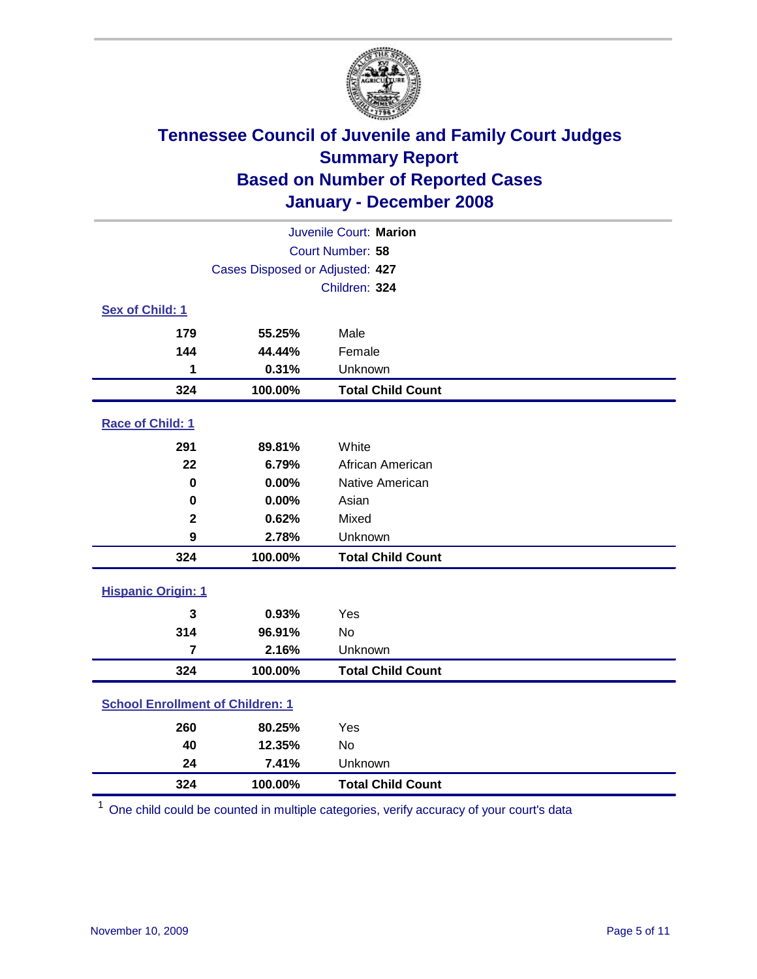

| Juvenile Court: Marion                  |                                 |                          |  |  |  |
|-----------------------------------------|---------------------------------|--------------------------|--|--|--|
| Court Number: 58                        |                                 |                          |  |  |  |
|                                         | Cases Disposed or Adjusted: 427 |                          |  |  |  |
|                                         |                                 | Children: 324            |  |  |  |
| Sex of Child: 1                         |                                 |                          |  |  |  |
| 179                                     | 55.25%                          | Male                     |  |  |  |
| 144                                     | 44.44%                          | Female                   |  |  |  |
| 1                                       | 0.31%                           | Unknown                  |  |  |  |
| 324                                     | 100.00%                         | <b>Total Child Count</b> |  |  |  |
| Race of Child: 1                        |                                 |                          |  |  |  |
| 291                                     | 89.81%                          | White                    |  |  |  |
| 22                                      | 6.79%                           | African American         |  |  |  |
| 0                                       | 0.00%                           | Native American          |  |  |  |
| $\bf{0}$                                | 0.00%                           | Asian                    |  |  |  |
| $\mathbf 2$                             | 0.62%                           | Mixed                    |  |  |  |
| 9                                       | 2.78%                           | Unknown                  |  |  |  |
| 324                                     | 100.00%                         | <b>Total Child Count</b> |  |  |  |
| <b>Hispanic Origin: 1</b>               |                                 |                          |  |  |  |
| 3                                       | 0.93%                           | Yes                      |  |  |  |
| 314                                     | 96.91%                          | <b>No</b>                |  |  |  |
| $\overline{7}$                          | 2.16%                           | Unknown                  |  |  |  |
| 324                                     | 100.00%                         | <b>Total Child Count</b> |  |  |  |
| <b>School Enrollment of Children: 1</b> |                                 |                          |  |  |  |
| 260                                     | 80.25%                          | Yes                      |  |  |  |
| 40                                      | 12.35%                          | <b>No</b>                |  |  |  |
| 24                                      | 7.41%                           | Unknown                  |  |  |  |
| 324                                     | 100.00%                         | <b>Total Child Count</b> |  |  |  |

One child could be counted in multiple categories, verify accuracy of your court's data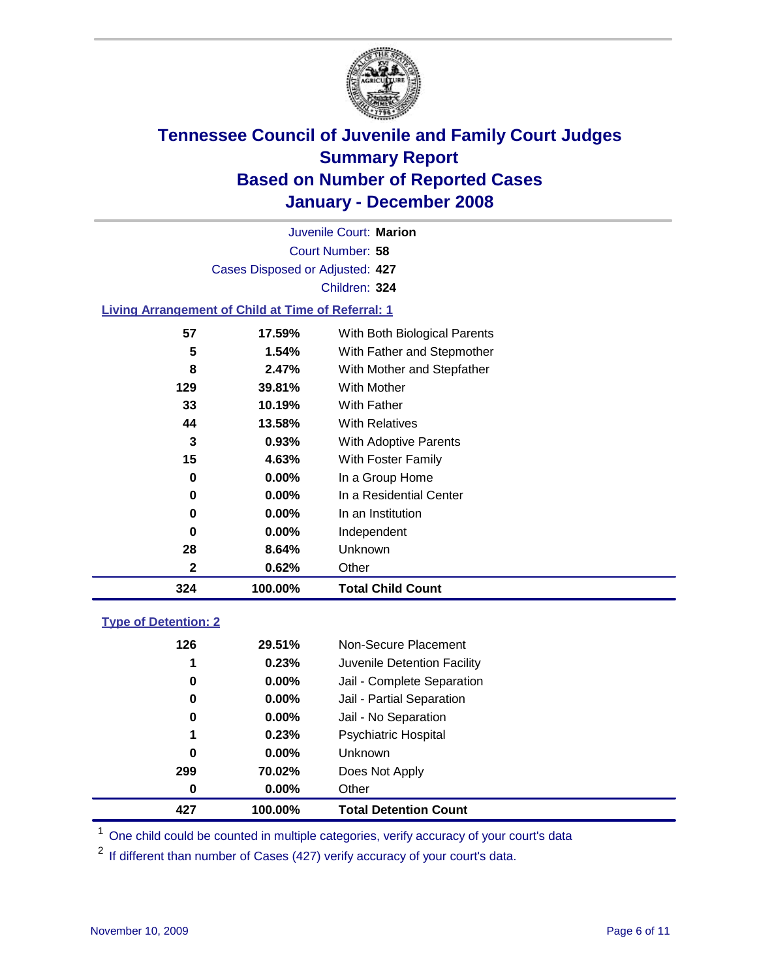

Court Number: **58** Juvenile Court: **Marion** Cases Disposed or Adjusted: **427** Children: **324**

### **Living Arrangement of Child at Time of Referral: 1**

| 324 | 100.00%  | <b>Total Child Count</b>     |
|-----|----------|------------------------------|
| 2   | 0.62%    | Other                        |
| 28  | 8.64%    | Unknown                      |
| 0   | $0.00\%$ | Independent                  |
| 0   | 0.00%    | In an Institution            |
| 0   | $0.00\%$ | In a Residential Center      |
| 0   | $0.00\%$ | In a Group Home              |
| 15  | 4.63%    | With Foster Family           |
| 3   | 0.93%    | <b>With Adoptive Parents</b> |
| 44  | 13.58%   | <b>With Relatives</b>        |
| 33  | 10.19%   | With Father                  |
| 129 | 39.81%   | With Mother                  |
| 8   | 2.47%    | With Mother and Stepfather   |
| 5   | 1.54%    | With Father and Stepmother   |
| 57  | 17.59%   | With Both Biological Parents |
|     |          |                              |

### **Type of Detention: 2**

| 427 | 100.00%  | <b>Total Detention Count</b> |
|-----|----------|------------------------------|
| 0   | $0.00\%$ | Other                        |
| 299 | 70.02%   | Does Not Apply               |
| 0   | $0.00\%$ | <b>Unknown</b>               |
| 1   | 0.23%    | <b>Psychiatric Hospital</b>  |
| 0   | $0.00\%$ | Jail - No Separation         |
| 0   | $0.00\%$ | Jail - Partial Separation    |
| 0   | $0.00\%$ | Jail - Complete Separation   |
| 1   | 0.23%    | Juvenile Detention Facility  |
| 126 | 29.51%   | Non-Secure Placement         |
|     |          |                              |

<sup>1</sup> One child could be counted in multiple categories, verify accuracy of your court's data

<sup>2</sup> If different than number of Cases (427) verify accuracy of your court's data.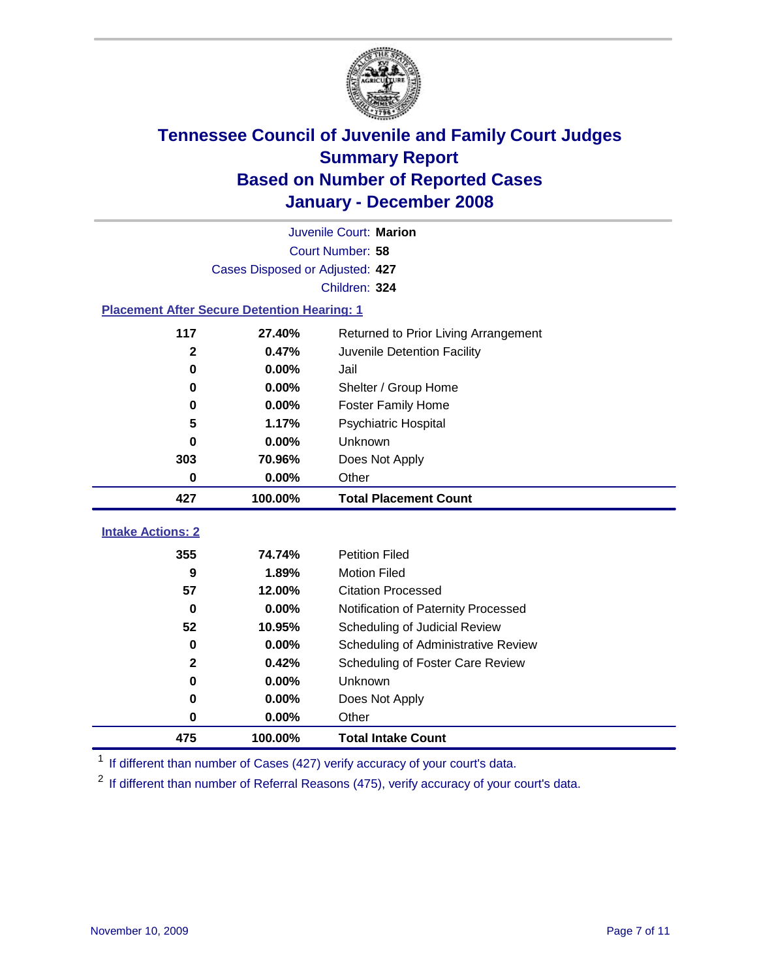

|                                                    | Juvenile Court: Marion          |                                      |  |  |  |
|----------------------------------------------------|---------------------------------|--------------------------------------|--|--|--|
|                                                    | Court Number: 58                |                                      |  |  |  |
|                                                    | Cases Disposed or Adjusted: 427 |                                      |  |  |  |
|                                                    |                                 | Children: 324                        |  |  |  |
| <b>Placement After Secure Detention Hearing: 1</b> |                                 |                                      |  |  |  |
| 117                                                | 27.40%                          | Returned to Prior Living Arrangement |  |  |  |
| $\mathbf 2$                                        | 0.47%                           | Juvenile Detention Facility          |  |  |  |
| 0                                                  | 0.00%                           | Jail                                 |  |  |  |
| 0                                                  | 0.00%                           | Shelter / Group Home                 |  |  |  |
| $\bf{0}$                                           | 0.00%                           | <b>Foster Family Home</b>            |  |  |  |
| 5                                                  | 1.17%                           | Psychiatric Hospital                 |  |  |  |
| 0                                                  | 0.00%                           | Unknown                              |  |  |  |
| 303                                                | 70.96%                          | Does Not Apply                       |  |  |  |
| $\bf{0}$                                           | 0.00%                           | Other                                |  |  |  |
| 427                                                | 100.00%                         | <b>Total Placement Count</b>         |  |  |  |
| <b>Intake Actions: 2</b>                           |                                 |                                      |  |  |  |
|                                                    | 74.74%                          | <b>Petition Filed</b>                |  |  |  |
| 355<br>$\boldsymbol{9}$                            | 1.89%                           | <b>Motion Filed</b>                  |  |  |  |
| 57                                                 | 12.00%                          | <b>Citation Processed</b>            |  |  |  |
|                                                    |                                 |                                      |  |  |  |
| 0<br>52                                            | 0.00%                           | Notification of Paternity Processed  |  |  |  |
|                                                    | 10.95%                          | Scheduling of Judicial Review        |  |  |  |
| $\bf{0}$                                           | 0.00%                           | Scheduling of Administrative Review  |  |  |  |
| $\mathbf 2$                                        | 0.42%                           | Scheduling of Foster Care Review     |  |  |  |
| 0                                                  | 0.00%                           | Unknown                              |  |  |  |
| 0                                                  | 0.00%                           | Does Not Apply                       |  |  |  |
| $\bf{0}$                                           | 0.00%                           | Other                                |  |  |  |
| 475                                                | 100.00%                         | <b>Total Intake Count</b>            |  |  |  |

<sup>1</sup> If different than number of Cases (427) verify accuracy of your court's data.

<sup>2</sup> If different than number of Referral Reasons (475), verify accuracy of your court's data.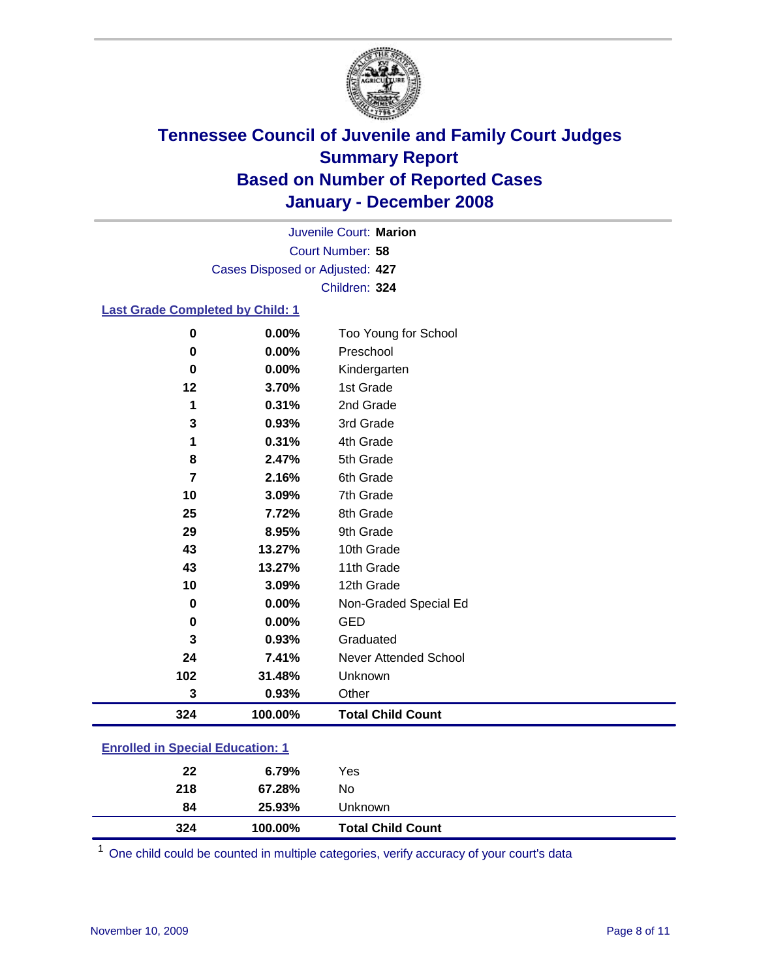

Court Number: **58** Juvenile Court: **Marion** Cases Disposed or Adjusted: **427** Children: **324**

### **Last Grade Completed by Child: 1**

| $\bf{0}$ | 0.00%   | Too Young for School     |
|----------|---------|--------------------------|
| 0        | 0.00%   | Preschool                |
| 0        | 0.00%   | Kindergarten             |
| 12       | 3.70%   | 1st Grade                |
| 1        | 0.31%   | 2nd Grade                |
| 3        | 0.93%   | 3rd Grade                |
| 1        | 0.31%   | 4th Grade                |
| 8        | 2.47%   | 5th Grade                |
| 7        | 2.16%   | 6th Grade                |
| 10       | 3.09%   | 7th Grade                |
| 25       | 7.72%   | 8th Grade                |
| 29       | 8.95%   | 9th Grade                |
| 43       | 13.27%  | 10th Grade               |
| 43       | 13.27%  | 11th Grade               |
| 10       | 3.09%   | 12th Grade               |
| 0        | 0.00%   | Non-Graded Special Ed    |
| 0        | 0.00%   | <b>GED</b>               |
| 3        | 0.93%   | Graduated                |
| 24       | 7.41%   | Never Attended School    |
| 102      | 31.48%  | Unknown                  |
| 3        | 0.93%   | Other                    |
| 324      | 100.00% | <b>Total Child Count</b> |

### **Enrolled in Special Education: 1**

| 324 | 100.00% | <b>Total Child Count</b> |
|-----|---------|--------------------------|
| 84  | 25.93%  | Unknown                  |
| 218 | 67.28%  | No                       |
| 22  | 6.79%   | Yes                      |
|     |         |                          |

<sup>1</sup> One child could be counted in multiple categories, verify accuracy of your court's data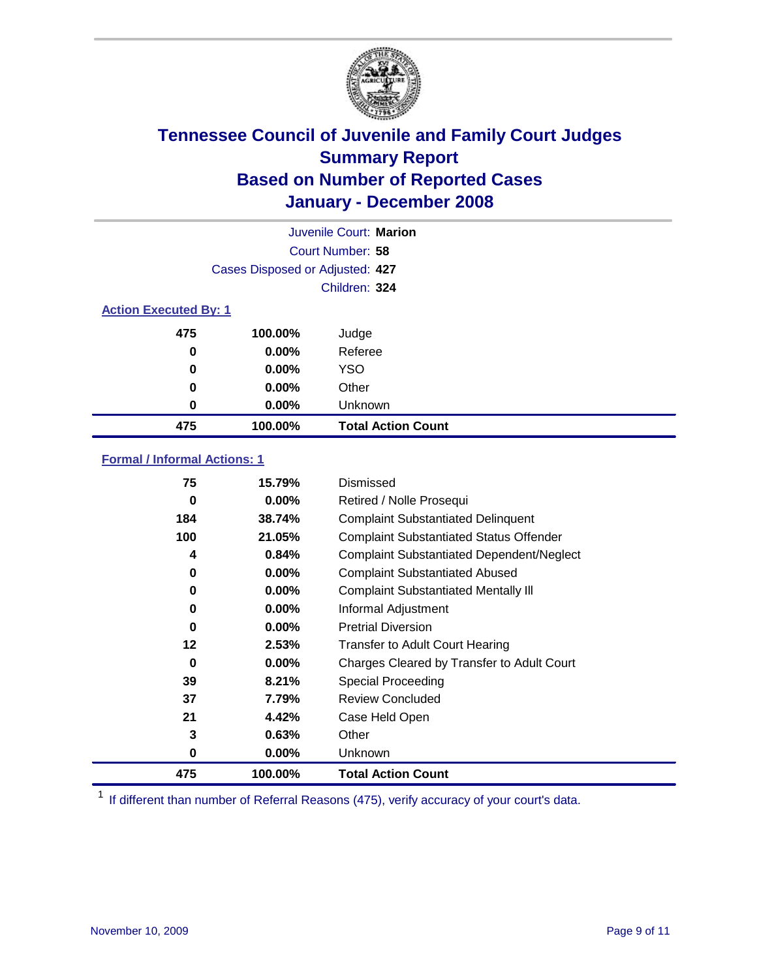

|                              |                                 | Juvenile Court: Marion    |
|------------------------------|---------------------------------|---------------------------|
|                              |                                 | Court Number: 58          |
|                              | Cases Disposed or Adjusted: 427 |                           |
|                              |                                 | Children: 324             |
| <b>Action Executed By: 1</b> |                                 |                           |
| 475                          | 100.00%                         | Judge                     |
| 0                            | $0.00\%$                        | Referee                   |
| 0                            | $0.00\%$                        | <b>YSO</b>                |
| 0                            | $0.00\%$                        | Other                     |
| 0                            | $0.00\%$                        | Unknown                   |
| 475                          | 100.00%                         | <b>Total Action Count</b> |

### **Formal / Informal Actions: 1**

| 75  | 15.79%   | Dismissed                                        |
|-----|----------|--------------------------------------------------|
| 0   | $0.00\%$ | Retired / Nolle Prosequi                         |
| 184 | 38.74%   | <b>Complaint Substantiated Delinquent</b>        |
| 100 | 21.05%   | <b>Complaint Substantiated Status Offender</b>   |
| 4   | 0.84%    | <b>Complaint Substantiated Dependent/Neglect</b> |
| 0   | $0.00\%$ | <b>Complaint Substantiated Abused</b>            |
| 0   | $0.00\%$ | <b>Complaint Substantiated Mentally III</b>      |
| 0   | $0.00\%$ | Informal Adjustment                              |
| 0   | $0.00\%$ | <b>Pretrial Diversion</b>                        |
| 12  | 2.53%    | <b>Transfer to Adult Court Hearing</b>           |
| 0   | $0.00\%$ | Charges Cleared by Transfer to Adult Court       |
| 39  | 8.21%    | Special Proceeding                               |
| 37  | 7.79%    | <b>Review Concluded</b>                          |
| 21  | 4.42%    | Case Held Open                                   |
| 3   | 0.63%    | Other                                            |
| 0   | $0.00\%$ | <b>Unknown</b>                                   |
| 475 | 100.00%  | <b>Total Action Count</b>                        |

<sup>1</sup> If different than number of Referral Reasons (475), verify accuracy of your court's data.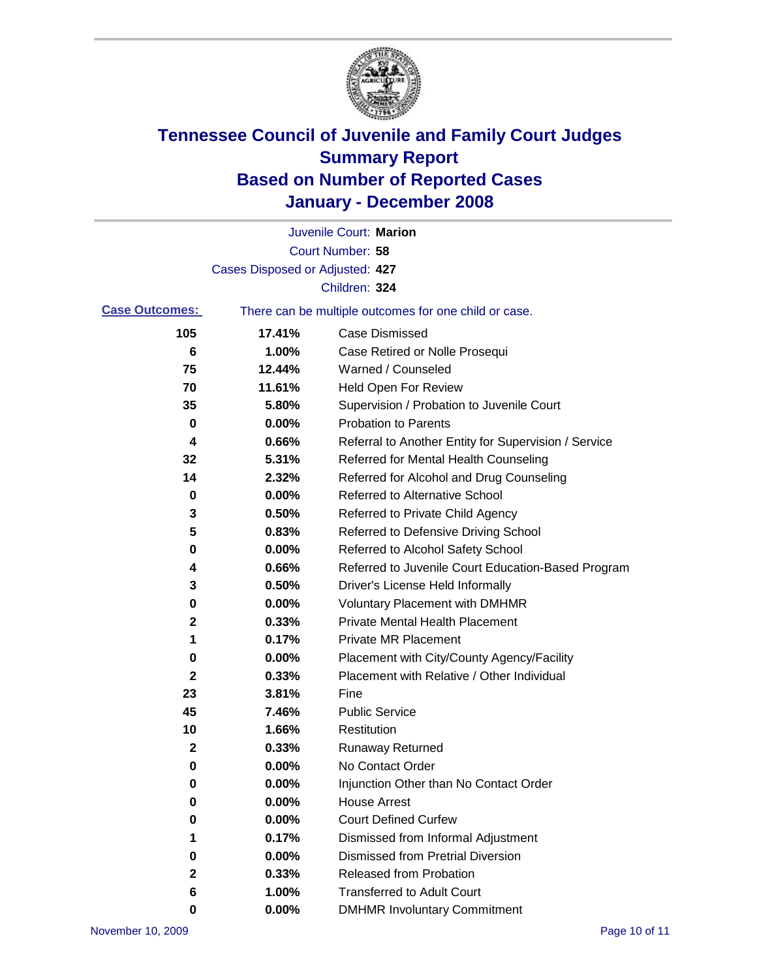

|                       |                                 | Juvenile Court: Marion                                |
|-----------------------|---------------------------------|-------------------------------------------------------|
|                       |                                 | Court Number: 58                                      |
|                       | Cases Disposed or Adjusted: 427 |                                                       |
|                       |                                 | Children: 324                                         |
| <b>Case Outcomes:</b> |                                 | There can be multiple outcomes for one child or case. |
| 105                   | 17.41%                          | <b>Case Dismissed</b>                                 |
| 6                     | 1.00%                           | Case Retired or Nolle Prosequi                        |
| 75                    | 12.44%                          | Warned / Counseled                                    |
| 70                    | 11.61%                          | <b>Held Open For Review</b>                           |
| 35                    | 5.80%                           | Supervision / Probation to Juvenile Court             |
| 0                     | 0.00%                           | <b>Probation to Parents</b>                           |
| 4                     | 0.66%                           | Referral to Another Entity for Supervision / Service  |
| 32                    | 5.31%                           | Referred for Mental Health Counseling                 |
| 14                    | 2.32%                           | Referred for Alcohol and Drug Counseling              |
| 0                     | 0.00%                           | Referred to Alternative School                        |
| 3                     | 0.50%                           | Referred to Private Child Agency                      |
| 5                     | 0.83%                           | Referred to Defensive Driving School                  |
| 0                     | 0.00%                           | Referred to Alcohol Safety School                     |
| 4                     | 0.66%                           | Referred to Juvenile Court Education-Based Program    |
| 3                     | 0.50%                           | Driver's License Held Informally                      |
| 0                     | 0.00%                           | <b>Voluntary Placement with DMHMR</b>                 |
| 2                     | 0.33%                           | <b>Private Mental Health Placement</b>                |
| 1                     | 0.17%                           | <b>Private MR Placement</b>                           |
| 0                     | 0.00%                           | Placement with City/County Agency/Facility            |
| $\mathbf 2$           | 0.33%                           | Placement with Relative / Other Individual            |
| 23                    | 3.81%                           | Fine                                                  |
| 45                    | 7.46%                           | <b>Public Service</b>                                 |
| 10                    | 1.66%                           | Restitution                                           |
| 2                     | 0.33%                           | <b>Runaway Returned</b>                               |
| 0                     | 0.00%                           | No Contact Order                                      |
| 0                     | 0.00%                           | Injunction Other than No Contact Order                |
| 0                     | 0.00%                           | <b>House Arrest</b>                                   |
| 0                     | 0.00%                           | <b>Court Defined Curfew</b>                           |
| 1                     | 0.17%                           | Dismissed from Informal Adjustment                    |
| 0                     | 0.00%                           | <b>Dismissed from Pretrial Diversion</b>              |
| 2                     | 0.33%                           | Released from Probation                               |
| 6                     | 1.00%                           | <b>Transferred to Adult Court</b>                     |
| 0                     | 0.00%                           | <b>DMHMR Involuntary Commitment</b>                   |